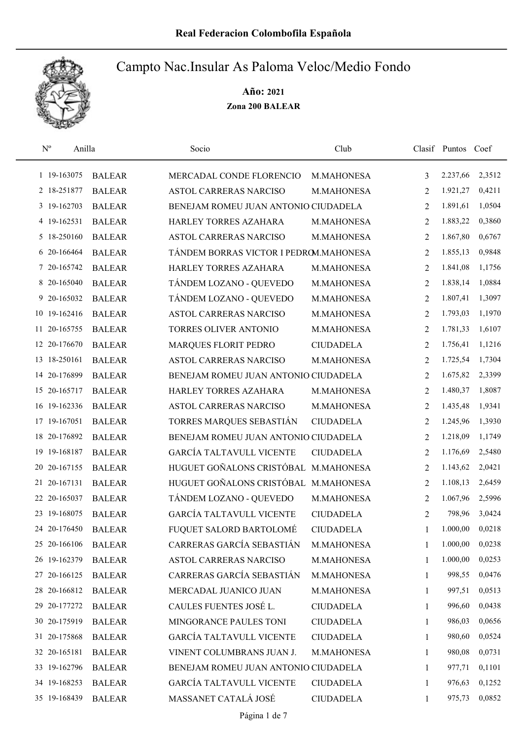

| $\mathbf{N}^{\mathrm{o}}$ | Anilla        | Socio                                  | Club             |                | Clasif Puntos Coef |        |
|---------------------------|---------------|----------------------------------------|------------------|----------------|--------------------|--------|
| 1 19-163075               | <b>BALEAR</b> | MERCADAL CONDE FLORENCIO               | M.MAHONESA       | 3              | 2.237,66           | 2,3512 |
| 2 18-251877               | <b>BALEAR</b> | <b>ASTOL CARRERAS NARCISO</b>          | M.MAHONESA       | 2              | 1.921,27           | 0,4211 |
| 3 19-162703               | <b>BALEAR</b> | BENEJAM ROMEU JUAN ANTONIO CIUDADELA   |                  | 2              | 1.891,61           | 1,0504 |
| 4 19-162531               | <b>BALEAR</b> | HARLEY TORRES AZAHARA                  | M.MAHONESA       | 2              | 1.883,22           | 0,3860 |
| 5 18-250160               | <b>BALEAR</b> | ASTOL CARRERAS NARCISO                 | M.MAHONESA       | 2              | 1.867,80           | 0,6767 |
| 6 20-166464               | <b>BALEAR</b> | TÁNDEM BORRAS VICTOR I PEDROM.MAHONESA |                  | 2              | 1.855,13           | 0,9848 |
| 7 20-165742               | <b>BALEAR</b> | HARLEY TORRES AZAHARA                  | M.MAHONESA       | 2              | 1.841,08           | 1,1756 |
| 8 20-165040               | <b>BALEAR</b> | TÁNDEM LOZANO - QUEVEDO                | M.MAHONESA       | 2              | 1.838,14           | 1,0884 |
| 9 20-165032               | <b>BALEAR</b> | TÁNDEM LOZANO - QUEVEDO                | M.MAHONESA       | 2              | 1.807,41           | 1,3097 |
| 10 19-162416              | <b>BALEAR</b> | ASTOL CARRERAS NARCISO                 | M.MAHONESA       | 2              | 1.793,03           | 1,1970 |
| 11 20-165755              | <b>BALEAR</b> | TORRES OLIVER ANTONIO                  | M.MAHONESA       | $\overline{2}$ | 1.781,33           | 1,6107 |
| 12 20-176670              | <b>BALEAR</b> | MARQUES FLORIT PEDRO                   | <b>CIUDADELA</b> | 2              | 1.756,41           | 1,1216 |
| 13 18-250161              | <b>BALEAR</b> | ASTOL CARRERAS NARCISO                 | M.MAHONESA       | 2              | 1.725,54           | 1,7304 |
| 14 20-176899              | <b>BALEAR</b> | BENEJAM ROMEU JUAN ANTONIO CIUDADELA   |                  | $\overline{2}$ | 1.675,82           | 2,3399 |
| 15 20-165717              | <b>BALEAR</b> | HARLEY TORRES AZAHARA                  | M.MAHONESA       | 2              | 1.480,37           | 1,8087 |
| 16 19-162336              | <b>BALEAR</b> | ASTOL CARRERAS NARCISO                 | M.MAHONESA       | 2              | 1.435,48           | 1,9341 |
| 17 19-167051              | <b>BALEAR</b> | TORRES MARQUES SEBASTIÁN               | <b>CIUDADELA</b> | 2              | 1.245,96           | 1,3930 |
| 18 20-176892              | <b>BALEAR</b> | BENEJAM ROMEU JUAN ANTONIO CIUDADELA   |                  | $\overline{2}$ | 1.218,09           | 1,1749 |
| 19 19 - 168 187           | <b>BALEAR</b> | <b>GARCÍA TALTAVULL VICENTE</b>        | <b>CIUDADELA</b> | $\overline{2}$ | 1.176,69           | 2,5480 |
| 20 20 - 167155            | <b>BALEAR</b> | HUGUET GOÑALONS CRISTÓBAL              | M.MAHONESA       | 2              | 1.143,62           | 2,0421 |
| 21 20-167131              | <b>BALEAR</b> | HUGUET GOÑALONS CRISTÓBAL M.MAHONESA   |                  | 2              | 1.108,13           | 2,6459 |
| 22 20-165037              | <b>BALEAR</b> | TÁNDEM LOZANO - QUEVEDO                | M.MAHONESA       | 2              | 1.067,96           | 2,5996 |
| 23 19-168075              | <b>BALEAR</b> | <b>GARCÍA TALTAVULL VICENTE</b>        | <b>CIUDADELA</b> | 2              | 798,96             | 3,0424 |
| 24 20-176450              | <b>BALEAR</b> | FUQUET SALORD BARTOLOMÉ                | <b>CIUDADELA</b> | 1              | 1.000,00           | 0,0218 |
| 25 20-166106              | <b>BALEAR</b> | CARRERAS GARCÍA SEBASTIÁN              | M.MAHONESA       | 1              | 1.000,00           | 0,0238 |
| 26 19-162379              | <b>BALEAR</b> | ASTOL CARRERAS NARCISO                 | M.MAHONESA       | 1              | 1.000,00           | 0,0253 |
| 27 20-166125              | <b>BALEAR</b> | CARRERAS GARCÍA SEBASTIÁN              | M.MAHONESA       | 1              | 998,55             | 0,0476 |
| 28 20-166812              | <b>BALEAR</b> | MERCADAL JUANICO JUAN                  | M.MAHONESA       | 1              | 997,51             | 0,0513 |
| 29 20-177272              | <b>BALEAR</b> | CAULES FUENTES JOSÉ L.                 | <b>CIUDADELA</b> | 1              | 996,60             | 0,0438 |
| 30 20-175919              | <b>BALEAR</b> | MINGORANCE PAULES TONI                 | <b>CIUDADELA</b> | 1              | 986,03             | 0,0656 |
| 31 20-175868              | <b>BALEAR</b> | <b>GARCÍA TALTAVULL VICENTE</b>        | <b>CIUDADELA</b> | $\mathbf{1}$   | 980,60             | 0,0524 |
| 32 20-165181              | <b>BALEAR</b> | VINENT COLUMBRANS JUAN J.              | M.MAHONESA       | 1              | 980,08             | 0,0731 |
| 33 19-162796              | <b>BALEAR</b> | BENEJAM ROMEU JUAN ANTONIO CIUDADELA   |                  | 1              | 977,71             | 0,1101 |
| 34 19-168253              | <b>BALEAR</b> | <b>GARCÍA TALTAVULL VICENTE</b>        | <b>CIUDADELA</b> | 1              | 976,63             | 0,1252 |
| 35 19-168439              | <b>BALEAR</b> | MASSANET CATALÁ JOSÉ                   | <b>CIUDADELA</b> | $\mathbf{1}$   | 975,73             | 0,0852 |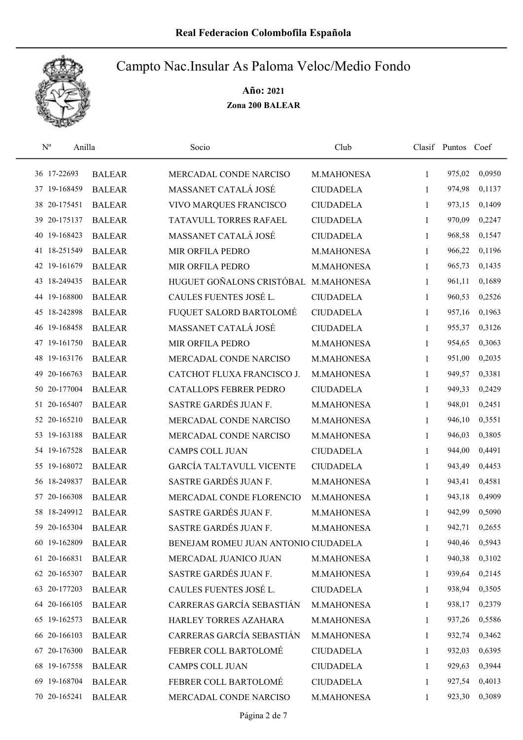

| $N^{o}$      | Anilla                     | Socio                                | Club             |              | Clasif Puntos Coef |        |
|--------------|----------------------------|--------------------------------------|------------------|--------------|--------------------|--------|
| 36 17-22693  | <b>BALEAR</b>              | MERCADAL CONDE NARCISO               | M.MAHONESA       | $\mathbf{1}$ | 975,02             | 0,0950 |
| 37 19-168459 | <b>BALEAR</b>              | MASSANET CATALÁ JOSÉ                 | <b>CIUDADELA</b> | 1            | 974,98             | 0,1137 |
| 38 20-175451 | <b>BALEAR</b>              | VIVO MARQUES FRANCISCO               | <b>CIUDADELA</b> | $\mathbf{1}$ | 973,15             | 0,1409 |
| 39 20-175137 | <b>BALEAR</b>              | TATAVULL TORRES RAFAEL               | <b>CIUDADELA</b> | $\mathbf{1}$ | 970,09             | 0,2247 |
| 40 19-168423 | <b>BALEAR</b>              | MASSANET CATALÁ JOSÉ                 | <b>CIUDADELA</b> | 1            | 968,58             | 0,1547 |
| 41 18-251549 | <b>BALEAR</b>              | MIR ORFILA PEDRO                     | M.MAHONESA       | $\mathbf{1}$ | 966,22             | 0,1196 |
| 42 19-161679 | <b>BALEAR</b>              | MIR ORFILA PEDRO                     | M.MAHONESA       | $\mathbf{1}$ | 965,73             | 0,1435 |
| 43 18-249435 | <b>BALEAR</b>              | HUGUET GOÑALONS CRISTÓBAL M.MAHONESA |                  | $\mathbf{1}$ | 961,11             | 0,1689 |
| 44 19-168800 | <b>BALEAR</b>              | CAULES FUENTES JOSÉ L.               | <b>CIUDADELA</b> | $\mathbf{1}$ | 960,53             | 0,2526 |
| 45 18-242898 | <b>BALEAR</b>              | FUQUET SALORD BARTOLOMÉ              | <b>CIUDADELA</b> | 1            | 957,16             | 0,1963 |
| 46 19-168458 | <b>BALEAR</b>              | MASSANET CATALÁ JOSÉ                 | <b>CIUDADELA</b> | 1            | 955,37             | 0,3126 |
| 47 19-161750 | <b>BALEAR</b>              | MIR ORFILA PEDRO                     | M.MAHONESA       | 1            | 954,65             | 0,3063 |
| 48 19-163176 | <b>BALEAR</b>              | MERCADAL CONDE NARCISO               | M.MAHONESA       | 1            | 951,00             | 0,2035 |
| 49           | 20-166763<br><b>BALEAR</b> | CATCHOT FLUXA FRANCISCO J.           | M.MAHONESA       | 1            | 949,57             | 0,3381 |
| 50 20-177004 | <b>BALEAR</b>              | CATALLOPS FEBRER PEDRO               | <b>CIUDADELA</b> | 1            | 949,33             | 0,2429 |
| 51 20-165407 | <b>BALEAR</b>              | SASTRE GARDÉS JUAN F.                | M.MAHONESA       | 1            | 948,01             | 0,2451 |
| 52 20-165210 | <b>BALEAR</b>              | MERCADAL CONDE NARCISO               | M.MAHONESA       | $\mathbf{1}$ | 946,10             | 0,3551 |
| 53 19-163188 | <b>BALEAR</b>              | MERCADAL CONDE NARCISO               | M.MAHONESA       | $\mathbf{1}$ | 946,03             | 0,3805 |
| 54 19-167528 | <b>BALEAR</b>              | <b>CAMPS COLL JUAN</b>               | <b>CIUDADELA</b> | $\mathbf{1}$ | 944,00             | 0,4491 |
| 55 19-168072 | <b>BALEAR</b>              | <b>GARCÍA TALTAVULL VICENTE</b>      | <b>CIUDADELA</b> | $\mathbf{1}$ | 943,49             | 0,4453 |
| 56 18-249837 | <b>BALEAR</b>              | SASTRE GARDÉS JUAN F.                | M.MAHONESA       | $\mathbf{1}$ | 943,41             | 0,4581 |
| 57 20-166308 | <b>BALEAR</b>              | MERCADAL CONDE FLORENCIO             | M.MAHONESA       | $\mathbf{1}$ | 943,18             | 0,4909 |
| 58 18-249912 | <b>BALEAR</b>              | SASTRE GARDÉS JUAN F.                | M.MAHONESA       | 1            | 942,99             | 0,5090 |
| 59 20-165304 | <b>BALEAR</b>              | SASTRE GARDÉS JUAN F.                | M.MAHONESA       | 1            | 942,71             | 0,2655 |
| 60 19-162809 | <b>BALEAR</b>              | BENEJAM ROMEU JUAN ANTONIO CIUDADELA |                  | 1            | 940,46             | 0,5943 |
| 61 20-166831 | <b>BALEAR</b>              | MERCADAL JUANICO JUAN                | M.MAHONESA       | 1            | 940,38             | 0,3102 |
| 62 20-165307 | <b>BALEAR</b>              | SASTRE GARDÉS JUAN F.                | M.MAHONESA       | 1            | 939,64             | 0,2145 |
| 63 20-177203 | <b>BALEAR</b>              | CAULES FUENTES JOSÉ L.               | <b>CIUDADELA</b> | $\mathbf{1}$ | 938,94             | 0,3505 |
| 64 20-166105 | <b>BALEAR</b>              | CARRERAS GARCÍA SEBASTIÁN            | M.MAHONESA       | 1            | 938,17             | 0,2379 |
| 65 19-162573 | <b>BALEAR</b>              | HARLEY TORRES AZAHARA                | M.MAHONESA       | $\mathbf{1}$ | 937,26             | 0,5586 |
| 66 20-166103 | <b>BALEAR</b>              | CARRERAS GARCÍA SEBASTIÁN            | M.MAHONESA       | 1            | 932,74             | 0,3462 |
| 67 20-176300 | <b>BALEAR</b>              | FEBRER COLL BARTOLOMÉ                | <b>CIUDADELA</b> | 1            | 932,03             | 0,6395 |
| 68 19-167558 | <b>BALEAR</b>              | <b>CAMPS COLL JUAN</b>               | <b>CIUDADELA</b> | 1            | 929,63             | 0,3944 |
| 69 19-168704 | <b>BALEAR</b>              | FEBRER COLL BARTOLOMÉ                | <b>CIUDADELA</b> | 1            | 927,54             | 0,4013 |
| 70 20-165241 | <b>BALEAR</b>              | MERCADAL CONDE NARCISO               | M.MAHONESA       | 1            | 923,30             | 0,3089 |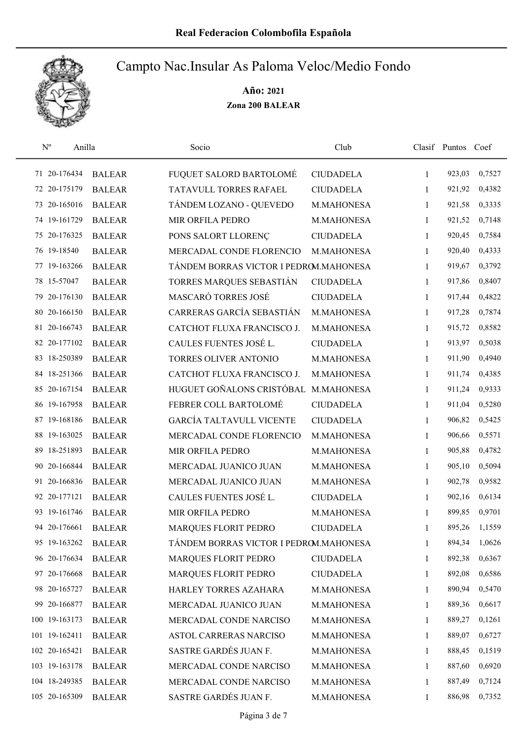

| $\mathbf{N}^{\text{o}}$ | Anilla        | Socio                                  | Club             |              | Clasif Puntos Coef |        |
|-------------------------|---------------|----------------------------------------|------------------|--------------|--------------------|--------|
| 71 20-176434            | <b>BALEAR</b> | FUQUET SALORD BARTOLOMÉ                | <b>CIUDADELA</b> | $\mathbf{1}$ | 923,03             | 0,7527 |
| 72 20-175179            | <b>BALEAR</b> | TATAVULL TORRES RAFAEL                 | <b>CIUDADELA</b> | 1            | 921,92             | 0,4382 |
| 73 20-165016            | <b>BALEAR</b> | TÁNDEM LOZANO - QUEVEDO                | M.MAHONESA       | 1            | 921,58             | 0,3335 |
| 74 19-161729            | <b>BALEAR</b> | MIR ORFILA PEDRO                       | M.MAHONESA       | $\mathbf{1}$ | 921,52             | 0,7148 |
| 75 20-176325            | <b>BALEAR</b> | PONS SALORT LLORENÇ                    | <b>CIUDADELA</b> | 1            | 920,45             | 0,7584 |
| 76 19-18540             | <b>BALEAR</b> | MERCADAL CONDE FLORENCIO               | M.MAHONESA       | $\mathbf{1}$ | 920,40             | 0,4333 |
| 77 19-163266            | <b>BALEAR</b> | TÁNDEM BORRAS VICTOR I PEDROM.MAHONESA |                  | $\mathbf{1}$ | 919,67             | 0,3792 |
| 78 15-57047             | <b>BALEAR</b> | TORRES MARQUES SEBASTIÁN               | <b>CIUDADELA</b> | $\mathbf{1}$ | 917,86             | 0,8407 |
| 79 20-176130            | <b>BALEAR</b> | MASCARÓ TORRES JOSÉ                    | <b>CIUDADELA</b> | 1            | 917,44             | 0,4822 |
| 80 20-166150            | <b>BALEAR</b> | CARRERAS GARCÍA SEBASTIÁN              | M.MAHONESA       | 1            | 917,28             | 0,7874 |
| 81 20-166743            | <b>BALEAR</b> | CATCHOT FLUXA FRANCISCO J.             | M.MAHONESA       | 1            | 915,72             | 0,8582 |
| 82 20-177102            | <b>BALEAR</b> | CAULES FUENTES JOSÉ L.                 | <b>CIUDADELA</b> | 1            | 913,97             | 0,5038 |
| 83 18-250389            | <b>BALEAR</b> | TORRES OLIVER ANTONIO                  | M.MAHONESA       | 1            | 911,90             | 0,4940 |
| 84 18-251366            | <b>BALEAR</b> | CATCHOT FLUXA FRANCISCO J.             | M.MAHONESA       | 1            | 911,74             | 0,4385 |
| 85 20-167154            | <b>BALEAR</b> | HUGUET GOÑALONS CRISTÓBAL              | M.MAHONESA       | $\mathbf{1}$ | 911,24             | 0,9333 |
| 86 19-167958            | <b>BALEAR</b> | FEBRER COLL BARTOLOMÉ                  | <b>CIUDADELA</b> | $\mathbf{1}$ | 911,04             | 0,5280 |
| 87 19-168186            | <b>BALEAR</b> | <b>GARCÍA TALTAVULL VICENTE</b>        | <b>CIUDADELA</b> | 1            | 906,82             | 0,5425 |
| 88 19-163025            | <b>BALEAR</b> | MERCADAL CONDE FLORENCIO               | M.MAHONESA       | $\mathbf{1}$ | 906,66             | 0,5571 |
| 89 18-251893            | <b>BALEAR</b> | MIR ORFILA PEDRO                       | M.MAHONESA       | $\mathbf{1}$ | 905,88             | 0,4782 |
| 90 20-166844            | <b>BALEAR</b> | MERCADAL JUANICO JUAN                  | M.MAHONESA       | $\mathbf{1}$ | 905,10             | 0,5094 |
| 91 20-166836            | <b>BALEAR</b> | MERCADAL JUANICO JUAN                  | M.MAHONESA       | 1            | 902,78             | 0,9582 |
| 92 20-177121            | <b>BALEAR</b> | CAULES FUENTES JOSÉ L.                 | <b>CIUDADELA</b> | 1            | 902,16             | 0,6134 |
| 93 19-161746            | <b>BALEAR</b> | MIR ORFILA PEDRO                       | M.MAHONESA       | 1            | 899,85             | 0,9701 |
| 94 20-176661            | <b>BALEAR</b> | MARQUES FLORIT PEDRO                   | <b>CIUDADELA</b> | 1            | 895,26             | 1,1559 |
| 95 19-163262            | <b>BALEAR</b> | TÁNDEM BORRAS VICTOR I PEDROM.MAHONESA |                  | 1            | 894,34             | 1,0626 |
| 96 20-176634            | <b>BALEAR</b> | MARQUES FLORIT PEDRO                   | <b>CIUDADELA</b> | 1            | 892,38             | 0,6367 |
| 97 20-176668            | <b>BALEAR</b> | <b>MARQUES FLORIT PEDRO</b>            | <b>CIUDADELA</b> | 1            | 892,08             | 0,6586 |
| 98 20-165727            | <b>BALEAR</b> | HARLEY TORRES AZAHARA                  | M.MAHONESA       | 1            | 890,94             | 0,5470 |
| 99 20-166877            | <b>BALEAR</b> | MERCADAL JUANICO JUAN                  | M.MAHONESA       | 1            | 889,36             | 0,6617 |
| 100 19-163173           | <b>BALEAR</b> | MERCADAL CONDE NARCISO                 | M.MAHONESA       | 1            | 889,27             | 0,1261 |
| 101 19-162411           | <b>BALEAR</b> | ASTOL CARRERAS NARCISO                 | M.MAHONESA       | 1            | 889,07             | 0,6727 |
| 102 20-165421           | <b>BALEAR</b> | SASTRE GARDÉS JUAN F.                  | M.MAHONESA       | 1            | 888,45             | 0,1519 |
| 103 19-163178           | <b>BALEAR</b> | MERCADAL CONDE NARCISO                 | M.MAHONESA       | 1            | 887,60             | 0,6920 |
| 104 18-249385           | <b>BALEAR</b> | MERCADAL CONDE NARCISO                 | M.MAHONESA       | 1            | 887,49             | 0,7124 |
| 105 20-165309           | <b>BALEAR</b> | SASTRE GARDÉS JUAN F.                  | M.MAHONESA       | 1            | 886,98             | 0,7352 |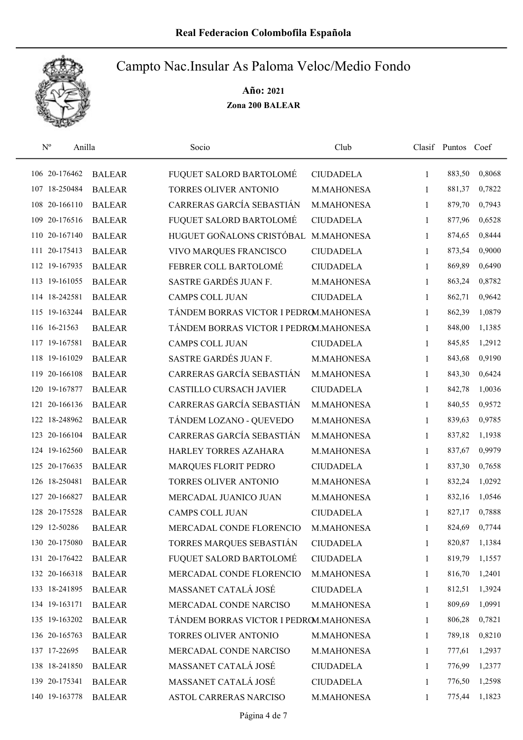

| $\mathbf{N}^{\text{o}}$ | Anilla        | Socio                                  | Club             |              | Clasif Puntos Coef |        |
|-------------------------|---------------|----------------------------------------|------------------|--------------|--------------------|--------|
| 106 20-176462           | <b>BALEAR</b> | FUQUET SALORD BARTOLOMÉ                | <b>CIUDADELA</b> | 1            | 883,50             | 0,8068 |
| 107 18-250484           | <b>BALEAR</b> | TORRES OLIVER ANTONIO                  | M.MAHONESA       | 1            | 881,37             | 0,7822 |
| 108 20-166110           | <b>BALEAR</b> | CARRERAS GARCÍA SEBASTIÁN              | M.MAHONESA       | $\mathbf{1}$ | 879,70             | 0,7943 |
| 109 20-176516           | <b>BALEAR</b> | FUQUET SALORD BARTOLOMÉ                | <b>CIUDADELA</b> | 1            | 877,96             | 0,6528 |
| 110 20-167140           | <b>BALEAR</b> | HUGUET GOÑALONS CRISTÓBAL              | M.MAHONESA       | $\mathbf{1}$ | 874,65             | 0,8444 |
| 111 20-175413           | <b>BALEAR</b> | VIVO MARQUES FRANCISCO                 | <b>CIUDADELA</b> | 1            | 873,54             | 0,9000 |
| 112 19-167935           | <b>BALEAR</b> | FEBRER COLL BARTOLOMÉ                  | <b>CIUDADELA</b> | $\mathbf{1}$ | 869,89             | 0,6490 |
| 113 19-161055           | <b>BALEAR</b> | SASTRE GARDÉS JUAN F.                  | M.MAHONESA       | 1            | 863,24             | 0,8782 |
| 114 18-242581           | <b>BALEAR</b> | <b>CAMPS COLL JUAN</b>                 | <b>CIUDADELA</b> | 1            | 862,71             | 0,9642 |
| 115 19-163244           | <b>BALEAR</b> | TÁNDEM BORRAS VICTOR I PEDROM.MAHONESA |                  | 1            | 862,39             | 1,0879 |
| 116 16-21563            | <b>BALEAR</b> | TÁNDEM BORRAS VICTOR I PEDROM.MAHONESA |                  | 1            | 848,00             | 1,1385 |
| 117 19-167581           | <b>BALEAR</b> | <b>CAMPS COLL JUAN</b>                 | <b>CIUDADELA</b> | 1            | 845,85             | 1,2912 |
| 118 19-161029           | <b>BALEAR</b> | SASTRE GARDÉS JUAN F.                  | M.MAHONESA       | 1            | 843,68             | 0,9190 |
| 119 20-166108           | <b>BALEAR</b> | CARRERAS GARCÍA SEBASTIÁN              | M.MAHONESA       | 1            | 843,30             | 0,6424 |
| 120 19-167877           | <b>BALEAR</b> | <b>CASTILLO CURSACH JAVIER</b>         | <b>CIUDADELA</b> | 1            | 842,78             | 1,0036 |
| 121 20-166136           | <b>BALEAR</b> | CARRERAS GARCÍA SEBASTIÁN              | M.MAHONESA       | 1            | 840,55             | 0,9572 |
| 122 18-248962           | <b>BALEAR</b> | TÁNDEM LOZANO - QUEVEDO                | M.MAHONESA       | 1            | 839,63             | 0,9785 |
| 123 20-166104           | <b>BALEAR</b> | CARRERAS GARCÍA SEBASTIÁN              | M.MAHONESA       | 1            | 837,82             | 1,1938 |
| 124 19-162560           | <b>BALEAR</b> | HARLEY TORRES AZAHARA                  | M.MAHONESA       | 1            | 837,67             | 0,9979 |
| 125 20-176635           | <b>BALEAR</b> | MARQUES FLORIT PEDRO                   | <b>CIUDADELA</b> | $\mathbf{1}$ | 837,30             | 0,7658 |
| 126 18-250481           | <b>BALEAR</b> | TORRES OLIVER ANTONIO                  | M.MAHONESA       | 1            | 832,24             | 1,0292 |
| 127 20-166827           | <b>BALEAR</b> | MERCADAL JUANICO JUAN                  | M.MAHONESA       | 1            | 832,16             | 1,0546 |
| 128 20-175528           | <b>BALEAR</b> | <b>CAMPS COLL JUAN</b>                 | <b>CIUDADELA</b> | 1            | 827,17             | 0,7888 |
| 129 12-50286            | <b>BALEAR</b> | MERCADAL CONDE FLORENCIO               | M.MAHONESA       | 1            | 824,69             | 0,7744 |
| 130 20-175080           | <b>BALEAR</b> | TORRES MARQUES SEBASTIÁN               | <b>CIUDADELA</b> | 1            | 820,87             | 1,1384 |
| 131 20-176422           | <b>BALEAR</b> | FUQUET SALORD BARTOLOMÉ                | <b>CIUDADELA</b> | 1            | 819,79             | 1,1557 |
| 132 20-166318           | <b>BALEAR</b> | MERCADAL CONDE FLORENCIO               | M.MAHONESA       | 1            | 816,70             | 1,2401 |
| 133 18-241895           | <b>BALEAR</b> | MASSANET CATALÁ JOSÉ                   | <b>CIUDADELA</b> | $\mathbf{1}$ | 812,51             | 1,3924 |
| 134 19-163171           | <b>BALEAR</b> | MERCADAL CONDE NARCISO                 | M.MAHONESA       | 1            | 809,69             | 1,0991 |
| 135 19-163202           | <b>BALEAR</b> | TÁNDEM BORRAS VICTOR I PEDROM.MAHONESA |                  | 1            | 806,28             | 0,7821 |
| 136 20-165763           | <b>BALEAR</b> | TORRES OLIVER ANTONIO                  | M.MAHONESA       | 1            | 789,18             | 0,8210 |
| 137 17-22695            | <b>BALEAR</b> | MERCADAL CONDE NARCISO                 | M.MAHONESA       | 1            | 777,61             | 1,2937 |
| 138 18-241850           | <b>BALEAR</b> | MASSANET CATALÁ JOSÉ                   | <b>CIUDADELA</b> | $\mathbf{1}$ | 776,99             | 1,2377 |
| 139 20-175341           | <b>BALEAR</b> | MASSANET CATALÁ JOSÉ                   | <b>CIUDADELA</b> | 1            | 776,50             | 1,2598 |
| 140 19-163778           | <b>BALEAR</b> | ASTOL CARRERAS NARCISO                 | M.MAHONESA       | 1            | 775,44             | 1,1823 |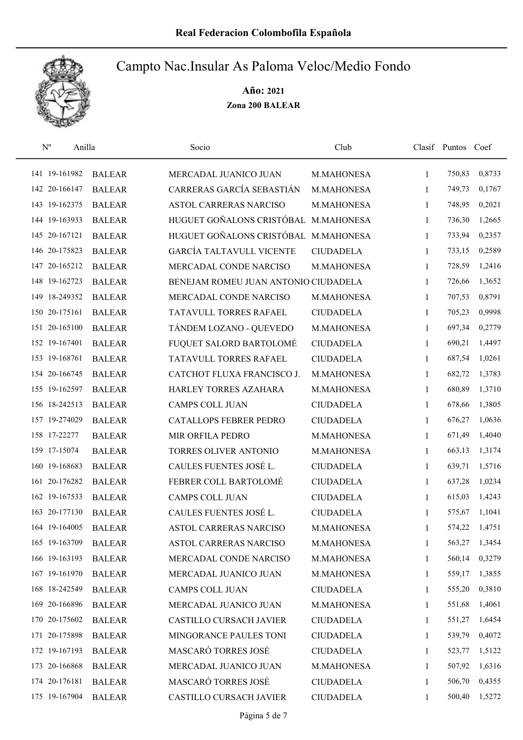

| $\mathbf{N}^{\text{o}}$ | Anilla        | Socio                                | Club             |              | Clasif Puntos Coef |        |
|-------------------------|---------------|--------------------------------------|------------------|--------------|--------------------|--------|
| 141 19-161982           | <b>BALEAR</b> | MERCADAL JUANICO JUAN                | M.MAHONESA       | 1            | 750,83             | 0,8733 |
| 142 20-166147           | <b>BALEAR</b> | CARRERAS GARCÍA SEBASTIÁN            | M.MAHONESA       | 1            | 749,73             | 0,1767 |
| 143 19-162375           | <b>BALEAR</b> | <b>ASTOL CARRERAS NARCISO</b>        | M.MAHONESA       | 1            | 748,95             | 0,2021 |
| 144 19-163933           | <b>BALEAR</b> | HUGUET GOÑALONS CRISTÓBAL M.MAHONESA |                  | 1            | 736,30             | 1,2665 |
| 145 20-167121           | <b>BALEAR</b> | HUGUET GOÑALONS CRISTÓBAL M.MAHONESA |                  | $\mathbf{1}$ | 733,94             | 0,2357 |
| 146 20-175823           | <b>BALEAR</b> | <b>GARCÍA TALTAVULL VICENTE</b>      | <b>CIUDADELA</b> | 1            | 733,15             | 0,2589 |
| 147 20-165212           | <b>BALEAR</b> | MERCADAL CONDE NARCISO               | M.MAHONESA       | 1            | 728,59             | 1,2416 |
| 148 19-162723           | <b>BALEAR</b> | BENEJAM ROMEU JUAN ANTONIO CIUDADELA |                  | 1            | 726,66             | 1,3652 |
| 149 18-249352           | <b>BALEAR</b> | MERCADAL CONDE NARCISO               | M.MAHONESA       | 1            | 707,53             | 0,8791 |
| 150 20-175161           | <b>BALEAR</b> | TATAVULL TORRES RAFAEL               | <b>CIUDADELA</b> | 1            | 705,23             | 0,9998 |
| 151 20-165100           | <b>BALEAR</b> | TÁNDEM LOZANO - QUEVEDO              | M.MAHONESA       | 1            | 697,34             | 0,2779 |
| 152 19-167401           | <b>BALEAR</b> | FUQUET SALORD BARTOLOMÉ              | <b>CIUDADELA</b> | 1            | 690,21             | 1,4497 |
| 153 19-168761           | <b>BALEAR</b> | TATAVULL TORRES RAFAEL               | <b>CIUDADELA</b> | 1            | 687,54             | 1,0261 |
| 154 20-166745           | <b>BALEAR</b> | CATCHOT FLUXA FRANCISCO J.           | M.MAHONESA       | $\mathbf{1}$ | 682,72             | 1,3783 |
| 155 19-162597           | <b>BALEAR</b> | HARLEY TORRES AZAHARA                | M.MAHONESA       | $\mathbf{1}$ | 680,89             | 1,3710 |
| 156 18-242513           | <b>BALEAR</b> | <b>CAMPS COLL JUAN</b>               | <b>CIUDADELA</b> | 1            | 678,66             | 1,3805 |
| 157 19-274029           | <b>BALEAR</b> | CATALLOPS FEBRER PEDRO               | <b>CIUDADELA</b> | 1            | 676,27             | 1,0636 |
| 158 17-22277            | <b>BALEAR</b> | MIR ORFILA PEDRO                     | M.MAHONESA       | 1            | 671,49             | 1,4040 |
| 159 17-15074            | <b>BALEAR</b> | TORRES OLIVER ANTONIO                | M.MAHONESA       | 1            | 663,13             | 1,3174 |
| 160 19-168683           | <b>BALEAR</b> | CAULES FUENTES JOSÉ L.               | <b>CIUDADELA</b> | $\mathbf{1}$ | 639,71             | 1,5716 |
| 161 20-176282           | <b>BALEAR</b> | FEBRER COLL BARTOLOMÉ                | <b>CIUDADELA</b> | 1            | 637,28             | 1,0234 |
| 162 19-167533           | <b>BALEAR</b> | <b>CAMPS COLL JUAN</b>               | <b>CIUDADELA</b> | 1            | 615,03             | 1,4243 |
| 163 20-177130           | <b>BALEAR</b> | CAULES FUENTES JOSÉ L.               | <b>CIUDADELA</b> | 1            | 575,67             | 1,1041 |
| 164 19-164005           | <b>BALEAR</b> | <b>ASTOL CARRERAS NARCISO</b>        | M.MAHONESA       | 1            | 574,22             | 1,4751 |
| 165 19-163709           | <b>BALEAR</b> | ASTOL CARRERAS NARCISO               | M.MAHONESA       | 1            | 563,27             | 1,3454 |
| 166 19-163193           | <b>BALEAR</b> | MERCADAL CONDE NARCISO               | M.MAHONESA       | 1            | 560,14             | 0,3279 |
| 167 19-161970           | <b>BALEAR</b> | MERCADAL JUANICO JUAN                | M.MAHONESA       | 1            | 559,17             | 1,3855 |
| 168 18-242549           | <b>BALEAR</b> | CAMPS COLL JUAN                      | <b>CIUDADELA</b> | 1            | 555,20             | 0,3810 |
| 169 20-166896           | <b>BALEAR</b> | MERCADAL JUANICO JUAN                | M.MAHONESA       | 1            | 551,68             | 1,4061 |
| 170 20-175602           | <b>BALEAR</b> | CASTILLO CURSACH JAVIER              | <b>CIUDADELA</b> | $\mathbf{1}$ | 551,27             | 1,6454 |
| 171 20-175898           | <b>BALEAR</b> | MINGORANCE PAULES TONI               | <b>CIUDADELA</b> | 1            | 539,79             | 0,4072 |
| 172 19-167193           | <b>BALEAR</b> | MASCARÓ TORRES JOSÉ                  | <b>CIUDADELA</b> | 1            | 523,77             | 1,5122 |
| 173 20-166868           | <b>BALEAR</b> | MERCADAL JUANICO JUAN                | M.MAHONESA       | 1            | 507,92             | 1,6316 |
| 174 20-176181           | <b>BALEAR</b> | MASCARÓ TORRES JOSÉ                  | <b>CIUDADELA</b> | 1            | 506,70             | 0,4355 |
| 175 19-167904           | <b>BALEAR</b> | CASTILLO CURSACH JAVIER              | <b>CIUDADELA</b> | 1            | 500,40             | 1,5272 |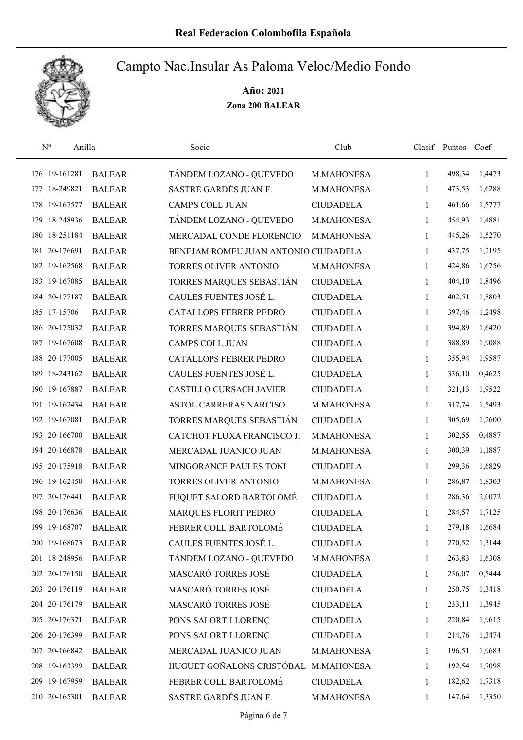

| $\mathbf{N}^{\text{o}}$ | Anilla        | Socio                                | Club             |              | Clasif Puntos Coef |        |
|-------------------------|---------------|--------------------------------------|------------------|--------------|--------------------|--------|
| 176 19-161281           | <b>BALEAR</b> | TÁNDEM LOZANO - QUEVEDO              | M.MAHONESA       | 1            | 498,34             | 1,4473 |
| 177 18-249821           | <b>BALEAR</b> | SASTRE GARDÉS JUAN F.                | M.MAHONESA       | 1            | 473,53             | 1,6288 |
| 178 19-167577           | <b>BALEAR</b> | <b>CAMPS COLL JUAN</b>               | <b>CIUDADELA</b> | $\mathbf{1}$ | 461,66             | 1,5777 |
| 179 18-248936           | <b>BALEAR</b> | TÁNDEM LOZANO - QUEVEDO              | M.MAHONESA       | 1            | 454,93             | 1,4881 |
| 180 18-251184           | <b>BALEAR</b> | MERCADAL CONDE FLORENCIO             | M.MAHONESA       | 1            | 445,26             | 1,5270 |
| 181 20-176691           | <b>BALEAR</b> | BENEJAM ROMEU JUAN ANTONIO CIUDADELA |                  | 1            | 437,75             | 1,2195 |
| 182 19-162568           | <b>BALEAR</b> | TORRES OLIVER ANTONIO                | M.MAHONESA       | 1            | 424,86             | 1,6756 |
| 183 19-167085           | <b>BALEAR</b> | TORRES MARQUES SEBASTIÁN             | <b>CIUDADELA</b> | 1            | 404,10             | 1,8496 |
| 184 20-177187           | <b>BALEAR</b> | CAULES FUENTES JOSÉ L.               | <b>CIUDADELA</b> | 1            | 402,51             | 1,8803 |
| 185 17-15706            | <b>BALEAR</b> | <b>CATALLOPS FEBRER PEDRO</b>        | <b>CIUDADELA</b> | 1            | 397,46             | 1,2498 |
| 186 20-175032           | <b>BALEAR</b> | TORRES MARQUES SEBASTIÁN             | <b>CIUDADELA</b> | 1            | 394,89             | 1,6420 |
| 187 19-167608           | <b>BALEAR</b> | <b>CAMPS COLL JUAN</b>               | <b>CIUDADELA</b> | 1            | 388,89             | 1,9088 |
| 188 20-177005           | <b>BALEAR</b> | <b>CATALLOPS FEBRER PEDRO</b>        | <b>CIUDADELA</b> | 1            | 355,94             | 1,9587 |
| 189 18-243162           | <b>BALEAR</b> | CAULES FUENTES JOSÉ L.               | <b>CIUDADELA</b> | 1            | 336,10             | 0,4625 |
| 190 19-167887           | <b>BALEAR</b> | CASTILLO CURSACH JAVIER              | <b>CIUDADELA</b> | $\mathbf{1}$ | 321,13             | 1,9522 |
| 191 19-162434           | <b>BALEAR</b> | ASTOL CARRERAS NARCISO               | M.MAHONESA       | 1            | 317,74             | 1,5493 |
| 192 19-167081           | <b>BALEAR</b> | TORRES MARQUES SEBASTIÁN             | <b>CIUDADELA</b> | 1            | 305,69             | 1,2600 |
| 193 20-166700           | <b>BALEAR</b> | CATCHOT FLUXA FRANCISCO J.           | M.MAHONESA       | 1            | 302,55             | 0,4887 |
| 194 20-166878           | <b>BALEAR</b> | MERCADAL JUANICO JUAN                | M.MAHONESA       | 1            | 300,39             | 1,1887 |
| 195 20-175918           | <b>BALEAR</b> | MINGORANCE PAULES TONI               | <b>CIUDADELA</b> | 1            | 299,36             | 1,6829 |
| 196 19-162450           | <b>BALEAR</b> | TORRES OLIVER ANTONIO                | M.MAHONESA       | 1            | 286,87             | 1,8303 |
| 197 20-176441           | <b>BALEAR</b> | FUQUET SALORD BARTOLOMÉ              | <b>CIUDADELA</b> | 1            | 286,36             | 2,0072 |
| 198 20-176636           | <b>BALEAR</b> | MARQUES FLORIT PEDRO                 | <b>CIUDADELA</b> | 1            | 284,57             | 1,7125 |
| 199 19-168707           | <b>BALEAR</b> | FEBRER COLL BARTOLOMÉ                | <b>CIUDADELA</b> | 1            | 279,18             | 1,6684 |
| 200 19-168673           | <b>BALEAR</b> | CAULES FUENTES JOSÉ L.               | <b>CIUDADELA</b> | 1            | 270,52             | 1,3144 |
| 201 18-248956           | <b>BALEAR</b> | TÁNDEM LOZANO - QUEVEDO              | M.MAHONESA       | 1            | 263,83             | 1,6308 |
| 202 20-176150           | <b>BALEAR</b> | MASCARÓ TORRES JOSÉ                  | <b>CIUDADELA</b> | 1            | 256,07             | 0,5444 |
| 203 20-176119           | <b>BALEAR</b> | MASCARÓ TORRES JOSÉ                  | <b>CIUDADELA</b> | 1            | 250,75             | 1,3418 |
| 204 20-176179           | <b>BALEAR</b> | MASCARÓ TORRES JOSÉ                  | <b>CIUDADELA</b> | 1            | 233,11             | 1,3945 |
| 205 20-176371           | <b>BALEAR</b> | PONS SALORT LLORENÇ                  | <b>CIUDADELA</b> | 1            | 220,84             | 1,9615 |
| 206 20-176399           | <b>BALEAR</b> | PONS SALORT LLORENÇ                  | <b>CIUDADELA</b> | 1            | 214,76             | 1,3474 |
| 207 20-166842           | <b>BALEAR</b> | MERCADAL JUANICO JUAN                | M.MAHONESA       | 1            | 196,51             | 1,9683 |
| 208 19-163399           | <b>BALEAR</b> | HUGUET GOÑALONS CRISTÓBAL            | M.MAHONESA       | 1            | 192,54             | 1,7098 |
| 209 19-167959           | <b>BALEAR</b> | FEBRER COLL BARTOLOMÉ                | <b>CIUDADELA</b> | 1            | 182,62             | 1,7318 |
| 210 20-165301           | <b>BALEAR</b> | SASTRE GARDÉS JUAN F.                | M.MAHONESA       | 1            | 147,64             | 1,3350 |